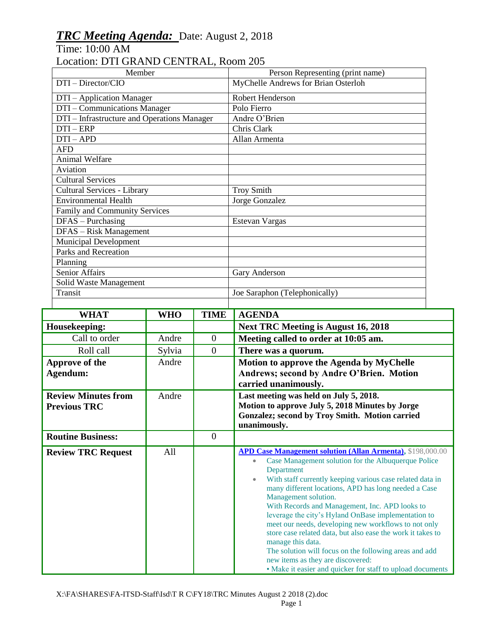## *TRC Meeting Agenda:* Date: August 2, 2018

Time: 10:00 AM

## Location: DTI GRAND CENTRAL, Room 205

| Member                                      |            |                  | Person Representing (print name)                                                                |  |
|---------------------------------------------|------------|------------------|-------------------------------------------------------------------------------------------------|--|
| DTI - Director/CIO                          |            |                  | MyChelle Andrews for Brian Osterloh                                                             |  |
| DTI - Application Manager                   |            |                  | Robert Henderson                                                                                |  |
| DTI – Communications Manager                |            |                  | Polo Fierro                                                                                     |  |
| DTI – Infrastructure and Operations Manager |            |                  | Andre O'Brien                                                                                   |  |
| $DTI - ERP$                                 |            |                  | Chris Clark                                                                                     |  |
| $DTI-APD$                                   |            |                  | Allan Armenta                                                                                   |  |
| <b>AFD</b>                                  |            |                  |                                                                                                 |  |
| Animal Welfare<br>Aviation                  |            |                  |                                                                                                 |  |
| <b>Cultural Services</b>                    |            |                  |                                                                                                 |  |
| Cultural Services - Library                 |            |                  | <b>Troy Smith</b>                                                                               |  |
| Environmental Health                        |            |                  | Jorge Gonzalez                                                                                  |  |
| Family and Community Services               |            |                  |                                                                                                 |  |
| DFAS - Purchasing                           |            |                  | Estevan Vargas                                                                                  |  |
| DFAS - Risk Management                      |            |                  |                                                                                                 |  |
| <b>Municipal Development</b>                |            |                  |                                                                                                 |  |
| Parks and Recreation                        |            |                  |                                                                                                 |  |
| Planning                                    |            |                  |                                                                                                 |  |
| <b>Senior Affairs</b>                       |            |                  | Gary Anderson                                                                                   |  |
| Solid Waste Management                      |            |                  |                                                                                                 |  |
| Transit                                     |            |                  | Joe Saraphon (Telephonically)                                                                   |  |
| <b>WHAT</b>                                 | <b>WHO</b> | <b>TIME</b>      | <b>AGENDA</b>                                                                                   |  |
| Housekeeping:                               |            |                  | <b>Next TRC Meeting is August 16, 2018</b>                                                      |  |
| Call to order                               |            | $\boldsymbol{0}$ | Meeting called to order at 10:05 am.                                                            |  |
|                                             | Andre      |                  |                                                                                                 |  |
| Roll call                                   |            | $\overline{0}$   |                                                                                                 |  |
|                                             | Sylvia     |                  | There was a quorum.                                                                             |  |
| Approve of the                              | Andre      |                  | Motion to approve the Agenda by MyChelle                                                        |  |
| Agendum:                                    |            |                  | Andrews; second by Andre O'Brien. Motion                                                        |  |
|                                             |            |                  | carried unanimously.                                                                            |  |
| <b>Review Minutes from</b>                  | Andre      |                  | Last meeting was held on July 5, 2018.<br>Motion to approve July 5, 2018 Minutes by Jorge       |  |
| <b>Previous TRC</b>                         |            |                  | Gonzalez; second by Troy Smith. Motion carried                                                  |  |
|                                             |            |                  | unanimously.                                                                                    |  |
| <b>Routine Business:</b>                    |            | $\overline{0}$   |                                                                                                 |  |
| <b>Review TRC Request</b>                   | All        |                  | <b>APD Case Management solution (Allan Armenta), \$198,000.00</b>                               |  |
|                                             |            |                  | Case Management solution for the Albuquerque Police                                             |  |
|                                             |            |                  | Department                                                                                      |  |
|                                             |            |                  | With staff currently keeping various case related data in<br>$\bullet$                          |  |
|                                             |            |                  | many different locations, APD has long needed a Case<br>Management solution.                    |  |
|                                             |            |                  | With Records and Management, Inc. APD looks to                                                  |  |
|                                             |            |                  | leverage the city's Hyland OnBase implementation to                                             |  |
|                                             |            |                  | meet our needs, developing new workflows to not only                                            |  |
|                                             |            |                  | store case related data, but also ease the work it takes to                                     |  |
|                                             |            |                  | manage this data.<br>The solution will focus on the following areas and add                     |  |
|                                             |            |                  | new items as they are discovered:<br>• Make it easier and quicker for staff to upload documents |  |